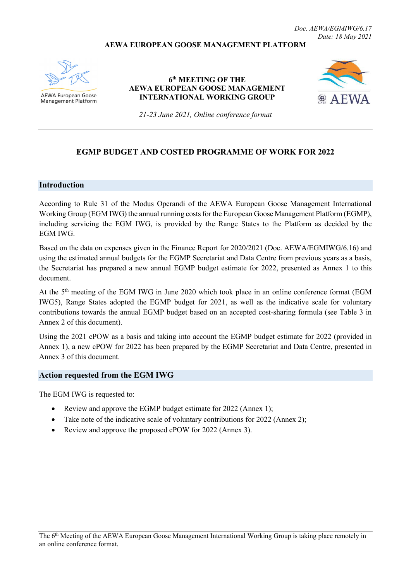*Doc. AEWA/EGMIWG/6.17 Date: 18 May 2021*

#### **AEWA EUROPEAN GOOSE MANAGEMENT PLATFORM**



AEWA European Goose **Management Platform** 

### **6th MEETING OF THE AEWA EUROPEAN GOOSE MANAGEMENT INTERNATIONAL WORKING GROUP**



*21-23 June 2021, Online conference format*

## **EGMP BUDGET AND COSTED PROGRAMME OF WORK FOR 2022**

#### **Introduction**

According to Rule 31 of the Modus Operandi of the AEWA European Goose Management International Working Group (EGM IWG) the annual running costs for the European Goose Management Platform (EGMP), including servicing the EGM IWG, is provided by the Range States to the Platform as decided by the EGM IWG.

Based on the data on expenses given in the Finance Report for 2020/2021 (Doc. AEWA/EGMIWG/6.16) and using the estimated annual budgets for the EGMP Secretariat and Data Centre from previous years as a basis, the Secretariat has prepared a new annual EGMP budget estimate for 2022, presented as Annex 1 to this document.

At the 5<sup>th</sup> meeting of the EGM IWG in June 2020 which took place in an online conference format (EGM IWG5), Range States adopted the EGMP budget for 2021, as well as the indicative scale for voluntary contributions towards the annual EGMP budget based on an accepted cost-sharing formula (see Table 3 in Annex 2 of this document).

Using the 2021 cPOW as a basis and taking into account the EGMP budget estimate for 2022 (provided in Annex 1), a new cPOW for 2022 has been prepared by the EGMP Secretariat and Data Centre, presented in Annex 3 of this document.

#### **Action requested from the EGM IWG**

The EGM IWG is requested to:

- Review and approve the EGMP budget estimate for 2022 (Annex 1);
- Take note of the indicative scale of voluntary contributions for 2022 (Annex 2);
- Review and approve the proposed cPOW for 2022 (Annex 3).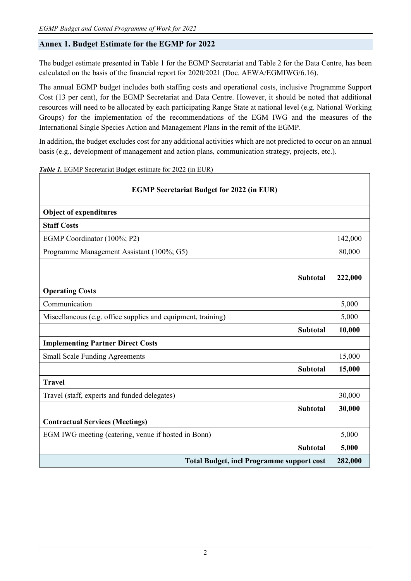# **Annex 1. Budget Estimate for the EGMP for 2022**

The budget estimate presented in Table 1 for the EGMP Secretariat and Table 2 for the Data Centre, has been calculated on the basis of the financial report for 2020/2021 (Doc. AEWA/EGMIWG/6.16).

The annual EGMP budget includes both staffing costs and operational costs, inclusive Programme Support Cost (13 per cent), for the EGMP Secretariat and Data Centre. However, it should be noted that additional resources will need to be allocated by each participating Range State at national level (e.g. National Working Groups) for the implementation of the recommendations of the EGM IWG and the measures of the International Single Species Action and Management Plans in the remit of the EGMP.

In addition, the budget excludes cost for any additional activities which are not predicted to occur on an annual basis (e.g., development of management and action plans, communication strategy, projects, etc.).

| <b>EGMP Secretariat Budget for 2022 (in EUR)</b>             |         |  |  |  |  |
|--------------------------------------------------------------|---------|--|--|--|--|
| <b>Object of expenditures</b>                                |         |  |  |  |  |
| <b>Staff Costs</b>                                           |         |  |  |  |  |
| EGMP Coordinator (100%; P2)                                  | 142,000 |  |  |  |  |
| Programme Management Assistant (100%; G5)                    | 80,000  |  |  |  |  |
|                                                              |         |  |  |  |  |
| <b>Subtotal</b>                                              | 222,000 |  |  |  |  |
| <b>Operating Costs</b>                                       |         |  |  |  |  |
| Communication                                                | 5,000   |  |  |  |  |
| Miscellaneous (e.g. office supplies and equipment, training) | 5,000   |  |  |  |  |
| <b>Subtotal</b>                                              | 10,000  |  |  |  |  |
| <b>Implementing Partner Direct Costs</b>                     |         |  |  |  |  |
| <b>Small Scale Funding Agreements</b>                        | 15,000  |  |  |  |  |
| <b>Subtotal</b>                                              | 15,000  |  |  |  |  |
| <b>Travel</b>                                                |         |  |  |  |  |
| Travel (staff, experts and funded delegates)                 | 30,000  |  |  |  |  |
| <b>Subtotal</b>                                              | 30,000  |  |  |  |  |
| <b>Contractual Services (Meetings)</b>                       |         |  |  |  |  |
| EGM IWG meeting (catering, venue if hosted in Bonn)          | 5,000   |  |  |  |  |
| <b>Subtotal</b>                                              | 5,000   |  |  |  |  |
| <b>Total Budget, incl Programme support cost</b>             | 282,000 |  |  |  |  |

*Table 1.* EGMP Secretariat Budget estimate for 2022 (in EUR)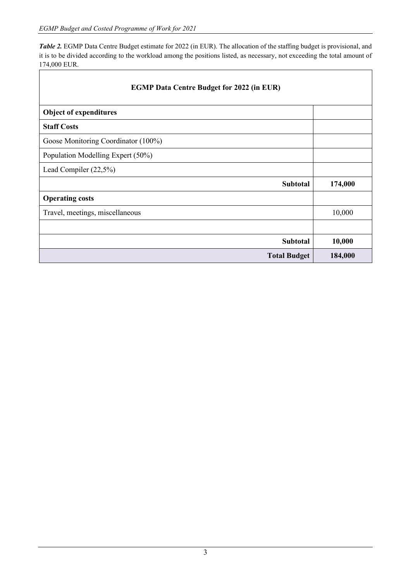*Table 2.* EGMP Data Centre Budget estimate for 2022 (in EUR). The allocation of the staffing budget is provisional, and it is to be divided according to the workload among the positions listed, as necessary, not exceeding the total amount of 174,000 EUR. ٦

| <b>EGMP Data Centre Budget for 2022 (in EUR)</b> |  |         |  |  |
|--------------------------------------------------|--|---------|--|--|
| <b>Object of expenditures</b>                    |  |         |  |  |
| <b>Staff Costs</b>                               |  |         |  |  |
| Goose Monitoring Coordinator (100%)              |  |         |  |  |
| Population Modelling Expert (50%)                |  |         |  |  |
| Lead Compiler (22,5%)                            |  |         |  |  |
| <b>Subtotal</b>                                  |  | 174,000 |  |  |
| <b>Operating costs</b>                           |  |         |  |  |
| Travel, meetings, miscellaneous                  |  | 10,000  |  |  |
|                                                  |  |         |  |  |
| <b>Subtotal</b>                                  |  | 10,000  |  |  |
| <b>Total Budget</b>                              |  | 184,000 |  |  |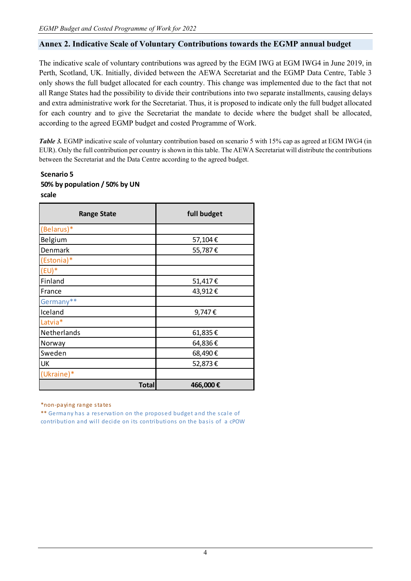## **Annex 2. Indicative Scale of Voluntary Contributions towards the EGMP annual budget**

The indicative scale of voluntary contributions was agreed by the EGM IWG at EGM IWG4 in June 2019, in Perth, Scotland, UK. Initially, divided between the AEWA Secretariat and the EGMP Data Centre, Table 3 only shows the full budget allocated for each country. This change was implemented due to the fact that not all Range States had the possibility to divide their contributions into two separate installments, causing delays and extra administrative work for the Secretariat. Thus, it is proposed to indicate only the full budget allocated for each country and to give the Secretariat the mandate to decide where the budget shall be allocated, according to the agreed EGMP budget and costed Programme of Work.

*Table 3.* EGMP indicative scale of voluntary contribution based on scenario 5 with 15% cap as agreed at EGM IWG4 (in EUR). Only the full contribution per country is shown in this table. The AEWA Secretariat will distribute the contributions between the Secretariat and the Data Centre according to the agreed budget.

## **Scenario 5 50% by population / 50% by UN scale**

| <b>Range State</b> | full budget |
|--------------------|-------------|
| (Belarus)*         |             |
| Belgium            | 57,104€     |
| Denmark            | 55,787€     |
| (Estonia)*         |             |
| $(EU)^*$           |             |
| Finland            | 51,417€     |
| France             | 43,912€     |
| Germany**          |             |
| Iceland            | 9,747€      |
| Latvia*            |             |
| Netherlands        | 61,835€     |
| Norway             | 64,836€     |
| Sweden             | 68,490€     |
| <b>UK</b>          | 52,873€     |
| (Ukraine)*         |             |
| <b>Total</b>       | 466,000€    |

\*non-paying range states

\*\* Germany has a reservation on the proposed budget and the scale of contribution and will decide on its contributions on the basis of a cPOW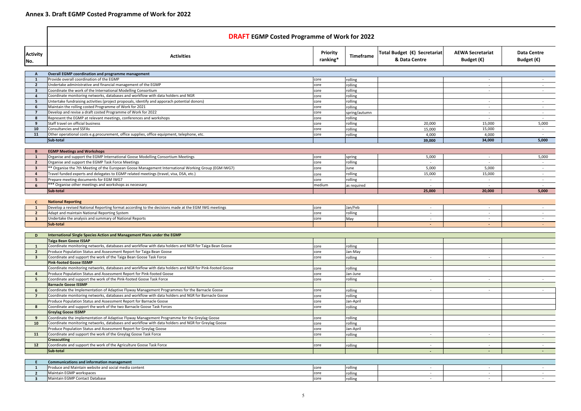|                                           | <b>DRAFT EGMP Costed Programme of Work for 2022</b>                                                                                                      |                      |                          |                                               |                                                |                                           |
|-------------------------------------------|----------------------------------------------------------------------------------------------------------------------------------------------------------|----------------------|--------------------------|-----------------------------------------------|------------------------------------------------|-------------------------------------------|
| <b>Activity</b><br>No.                    | <b>Activities</b>                                                                                                                                        | Priority<br>ranking* | Timeframe                | Total Budget (€) Secretariat<br>& Data Centre | <b>AEWA Secretariat</b><br>Budget $(\epsilon)$ | <b>Data Centre</b><br>Budget $(\epsilon)$ |
|                                           | <b>Overall EGMP coordination and programme management</b>                                                                                                |                      |                          |                                               |                                                |                                           |
| 1                                         | Provide overall coordination of the EGMP                                                                                                                 | core                 | rolling                  |                                               |                                                |                                           |
| $\overline{\mathbf{2}}$                   | Undertake administrative and financial management of the EGMP                                                                                            | core                 | rolling                  |                                               | $\sim$                                         |                                           |
| $\overline{\mathbf{3}}$                   | Coordinate the work of the International Modelling Consortium                                                                                            | core                 | rolling                  |                                               | $\sim$                                         | $\sim 100$                                |
| $\boldsymbol{A}$                          | Coordinate monitoring networks, databases and workflow with data holders and NGR                                                                         | core                 | rolling                  |                                               |                                                |                                           |
| -5                                        | Untertake fundraising activities (project proposals, identify and apporach potential donors)                                                             | core                 | rolling                  |                                               | $\sim$                                         | $\sim$                                    |
| -6                                        | Maintain the rolling costed Programme of Work for 2021                                                                                                   | core                 | rolling                  |                                               | $\sim$                                         | $\sim$ $-$                                |
| - 7<br>-8                                 | Develop and revise a draft costed Programme of Work for 2022<br>Represent the EGMP at relevant meetings, conferences and workshops                       | core<br>core         | spring/autumn<br>rolling |                                               | $\sim$<br>$\sim$                               | $\sim$<br>$\sim$                          |
| -9                                        | Staff travel on official business                                                                                                                        | core                 | rolling                  | 20,000                                        | 15,000                                         | 5,000                                     |
| 10                                        | Consultancies and SSFAs                                                                                                                                  | core                 | rolling                  | 15,000                                        | 15,000                                         | $\sim$ $-$                                |
| 11                                        | Other operational costs e.g.procurement, office supplies, office equipment, telephone, etc.                                                              | core                 | rolling                  | 4,000                                         | 4,000                                          | $\sim$                                    |
|                                           | Sub-total                                                                                                                                                |                      |                          | 39,000                                        | 34,000                                         | 5,000                                     |
|                                           |                                                                                                                                                          |                      |                          |                                               |                                                |                                           |
|                                           | <b>EGMP Meetings and Workshops</b>                                                                                                                       |                      |                          |                                               |                                                |                                           |
| $\mathbf{1}$                              | Organise and support the EGMP International Goose Modelling Consortium Meetings                                                                          | core                 | spring                   | 5,000                                         | $\sim$                                         | 5,000                                     |
| $\overline{2}$<br>$\overline{\mathbf{3}}$ | Organise and support the EGMP Task Force Meetings<br>** Organise the 7th Meeting of the European Goose Management International Working Group (EGM IWG7) | core                 | rolling<br>June          | $\sim$<br>5,000                               | $\overline{\phantom{a}}$<br>5,000              | $\sim$<br>$\sim$                          |
| $\boldsymbol{4}$                          | Travel funded experts and delegates to EGMP related meetings (travel, visa, DSA, etc.)                                                                   | core                 | rolling                  | 15,000                                        | 15,000                                         | $\sim$                                    |
| -5                                        | Prepare meeting documents for EGM IWG7                                                                                                                   | core<br>core         | rolling                  | $\overline{\phantom{a}}$                      | $\overline{\phantom{a}}$                       | $\sim$                                    |
| 6                                         | *** Organise other meetings and workshops as necessary                                                                                                   | medium               | as required              |                                               |                                                |                                           |
|                                           | Sub-total                                                                                                                                                |                      |                          | 25,000                                        | 20,000                                         | 5,000                                     |
|                                           |                                                                                                                                                          |                      |                          |                                               |                                                |                                           |
|                                           | <b>National Reporting</b>                                                                                                                                |                      |                          |                                               |                                                |                                           |
| - 1                                       | Develop a revised National Reporting format according to the decisions made at the EGM IWG meetings                                                      | core                 | Jan/Feb                  | $\sim$                                        | $\sim$                                         | $\sim 100$                                |
| $\overline{2}$                            | Adapt and maintain National Reporting System                                                                                                             | core                 | rolling                  | $\sim$                                        | $\sim$                                         | $\sim$ 10 $\pm$                           |
| $\overline{\mathbf{3}}$                   | Undertake the analysis and summary of National Reports<br>Sub-total                                                                                      | core                 | May                      | $\sim$                                        |                                                |                                           |
|                                           |                                                                                                                                                          |                      |                          |                                               |                                                |                                           |
| D                                         | International Single Species Action and Management Plans under the EGMP                                                                                  |                      |                          |                                               |                                                |                                           |
|                                           | Taiga Bean Goose ISSAP                                                                                                                                   |                      |                          |                                               |                                                |                                           |
|                                           | Coordinate monitoring networks, databases and workflow with data holders and NGR for Taiga Bean Goose                                                    | core                 | rolling                  |                                               |                                                |                                           |
| $\overline{2}$                            | Produce Population Status and Assessment Report for Taiga Bean Goose                                                                                     | core                 | Jan-May                  |                                               |                                                |                                           |
| 3                                         | Coordinate and support the work of the Taiga Bean Goose Task Force<br><b>Pink-footed Goose ISSMP</b>                                                     | core                 | rolling                  | $\sim$                                        | $\sim$                                         | $\sim$                                    |
|                                           | Coordinate monitoring networks, databases and workflow with data holders and NGR for Pink-footed Goose                                                   | core                 | rolling                  |                                               |                                                |                                           |
|                                           | Produce Population Status and Assessment Report for Pink-footed Goose                                                                                    | core                 | Jan-June                 |                                               |                                                |                                           |
| -5                                        | Coordinate and support the work of the Pink-footed Goose Task Force                                                                                      | core                 | rolling                  | $\sim$                                        | $\sim$                                         |                                           |
|                                           | <b>Barnacle Goose ISSMP</b>                                                                                                                              |                      |                          |                                               |                                                |                                           |
|                                           | Coordinate the Implementation of Adaptive Flyway Management Programmes for the Barnacle Goose                                                            | core                 | rolling                  |                                               | $\sim$                                         |                                           |
| $\overline{7}$                            | Coordinate monitoring networks, databases and workflow with data holders and NGR for Barnacle Goose                                                      | core                 | rolling                  |                                               |                                                |                                           |
|                                           | Produce Population Status and Assessment Report for Barnacle Goose                                                                                       | core                 | Jan-April                |                                               |                                                |                                           |
| -8                                        | Coordinate and support the work of the two Barnacle Goose Task Forces                                                                                    | core                 | rolling                  |                                               |                                                |                                           |
| -9                                        | <b>Greylag Goose ISSMP</b><br>Coordinate the implementation of Adaptive Flyway Management Programme for the Greylag Goose                                |                      |                          |                                               |                                                |                                           |
| 10                                        | Coordinate monitoring networks, databases and workflow with data holders and NGR for Greylag Goose                                                       | core<br>core         | rolling<br>rolling       |                                               |                                                |                                           |
|                                           | Produce Population Status and Assessment Report for Greylag Goose                                                                                        | core                 | Jan-April                |                                               |                                                |                                           |
| 11                                        | Coordinate and support the work of the Greylag Goose Task Force                                                                                          | core                 | rolling                  |                                               | $\sim$                                         |                                           |
|                                           | <b>Crosscutting</b>                                                                                                                                      |                      |                          |                                               |                                                |                                           |
| 12                                        | Coordinate and support the work of the Agriculture Goose Task Force                                                                                      | core                 | rolling                  | $\sim$                                        | $\sim$                                         |                                           |
|                                           | Sub-total                                                                                                                                                |                      |                          |                                               |                                                |                                           |
|                                           |                                                                                                                                                          |                      |                          |                                               |                                                |                                           |
|                                           | <b>Communications and information management</b>                                                                                                         |                      |                          |                                               |                                                |                                           |
| -1<br>$\overline{2}$                      | Produce and Maintain website and social media content<br>Maintain EGMP workspaces                                                                        | core<br>core         | rolling<br>rolling       | $\sim$<br>$\sim$                              | $\sim$<br>$\sim$                               |                                           |
| -3                                        | Maintain EGMP Contact Database                                                                                                                           | core                 | rolling                  |                                               | $\sim$                                         |                                           |
|                                           |                                                                                                                                                          |                      |                          |                                               |                                                |                                           |